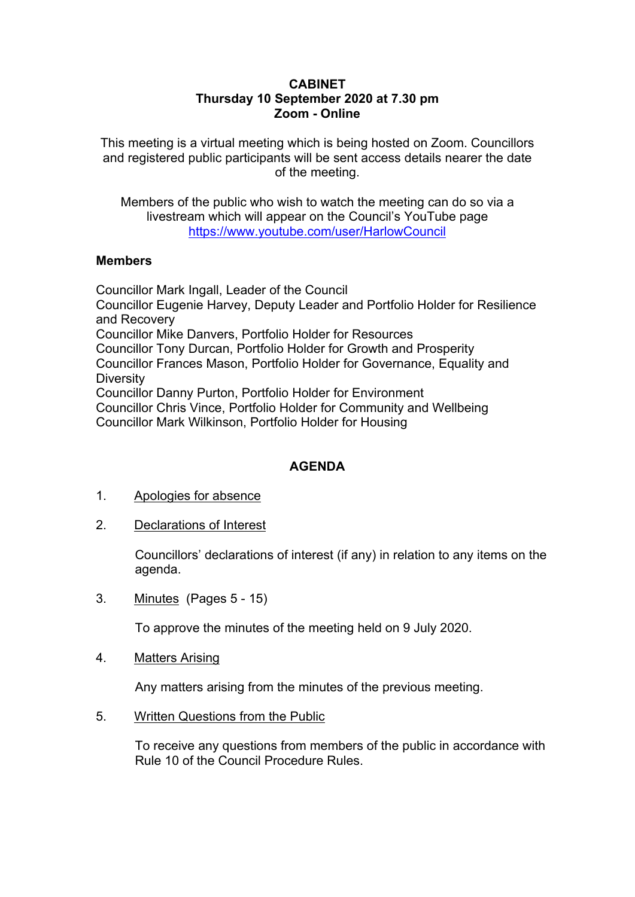## **CABINET Thursday 10 September 2020 at 7.30 pm Zoom - Online**

This meeting is a virtual meeting which is being hosted on Zoom. Councillors and registered public participants will be sent access details nearer the date of the meeting.

Members of the public who wish to watch the meeting can do so via a livestream which will appear on the Council's YouTube page <https://www.youtube.com/user/HarlowCouncil>

## **Members**

Councillor Mark Ingall, Leader of the Council Councillor Eugenie Harvey, Deputy Leader and Portfolio Holder for Resilience and Recovery Councillor Mike Danvers, Portfolio Holder for Resources Councillor Tony Durcan, Portfolio Holder for Growth and Prosperity Councillor Frances Mason, Portfolio Holder for Governance, Equality and **Diversity** Councillor Danny Purton, Portfolio Holder for Environment Councillor Chris Vince, Portfolio Holder for Community and Wellbeing Councillor Mark Wilkinson, Portfolio Holder for Housing

## **AGENDA**

- 1. Apologies for absence
- 2. Declarations of Interest

Councillors' declarations of interest (if any) in relation to any items on the agenda.

3. Minutes(Pages 5 - 15)

To approve the minutes of the meeting held on 9 July 2020.

4. Matters Arising

Any matters arising from the minutes of the previous meeting.

5. Written Questions from the Public

To receive any questions from members of the public in accordance with Rule 10 of the Council Procedure Rules.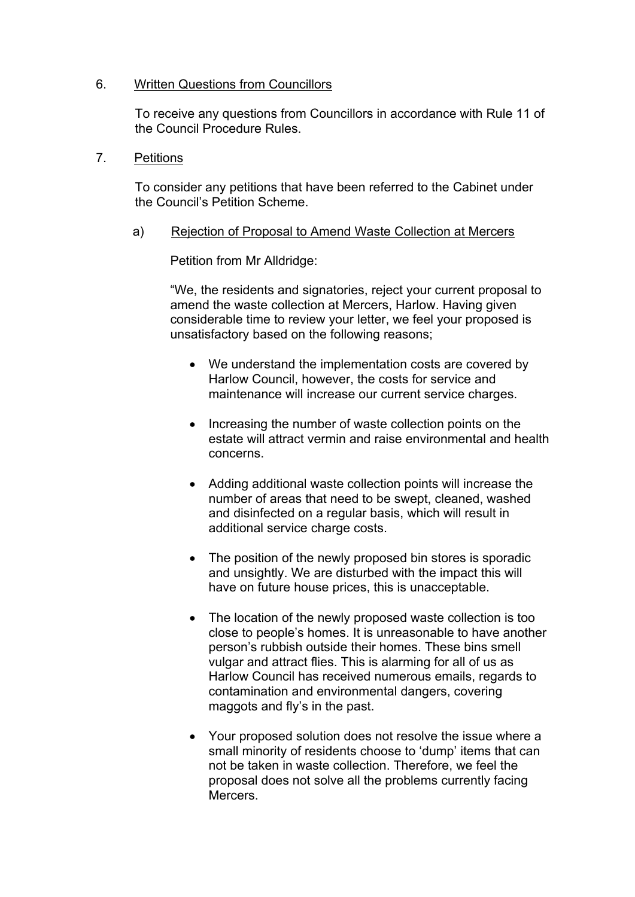## 6. Written Questions from Councillors

To receive any questions from Councillors in accordance with Rule 11 of the Council Procedure Rules.

7. Petitions

To consider any petitions that have been referred to the Cabinet under the Council's Petition Scheme.

a) Rejection of Proposal to Amend Waste Collection at Mercers

Petition from Mr Alldridge:

"We, the residents and signatories, reject your current proposal to amend the waste collection at Mercers, Harlow. Having given considerable time to review your letter, we feel your proposed is unsatisfactory based on the following reasons;

- We understand the implementation costs are covered by Harlow Council, however, the costs for service and maintenance will increase our current service charges.
- Increasing the number of waste collection points on the estate will attract vermin and raise environmental and health concerns.
- Adding additional waste collection points will increase the number of areas that need to be swept, cleaned, washed and disinfected on a regular basis, which will result in additional service charge costs.
- The position of the newly proposed bin stores is sporadic and unsightly. We are disturbed with the impact this will have on future house prices, this is unacceptable.
- The location of the newly proposed waste collection is too close to people's homes. It is unreasonable to have another person's rubbish outside their homes. These bins smell vulgar and attract flies. This is alarming for all of us as Harlow Council has received numerous emails, regards to contamination and environmental dangers, covering maggots and fly's in the past.
- Your proposed solution does not resolve the issue where a small minority of residents choose to 'dump' items that can not be taken in waste collection. Therefore, we feel the proposal does not solve all the problems currently facing Mercers.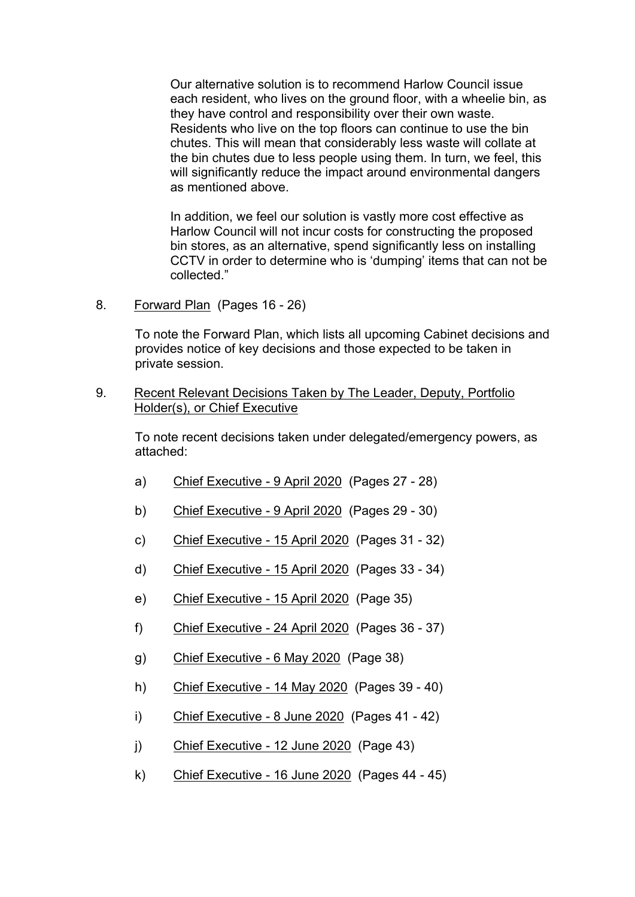Our alternative solution is to recommend Harlow Council issue each resident, who lives on the ground floor, with a wheelie bin, as they have control and responsibility over their own waste. Residents who live on the top floors can continue to use the bin chutes. This will mean that considerably less waste will collate at the bin chutes due to less people using them. In turn, we feel, this will significantly reduce the impact around environmental dangers as mentioned above.

In addition, we feel our solution is vastly more cost effective as Harlow Council will not incur costs for constructing the proposed bin stores, as an alternative, spend significantly less on installing CCTV in order to determine who is 'dumping' items that can not be collected."

8. Forward Plan(Pages 16 - 26)

To note the Forward Plan, which lists all upcoming Cabinet decisions and provides notice of key decisions and those expected to be taken in private session.

9. Recent Relevant Decisions Taken by The Leader, Deputy, Portfolio Holder(s), or Chief Executive

To note recent decisions taken under delegated/emergency powers, as attached:

- a) Chief Executive 9 April 2020 (Pages 27 28)
- b) Chief Executive 9 April 2020 (Pages 29 30)
- c) Chief Executive 15 April 2020 (Pages 31 32)
- d) Chief Executive 15 April 2020 (Pages 33 34)
- e) Chief Executive 15 April 2020 (Page 35)
- f) Chief Executive 24 April 2020 (Pages 36 37)
- g) Chief Executive 6 May 2020 (Page 38)
- h) Chief Executive 14 May 2020 (Pages 39 40)
- i) Chief Executive 8 June 2020 (Pages 41 42)
- j) Chief Executive 12 June 2020 (Page 43)
- k) Chief Executive 16 June 2020 (Pages 44 45)